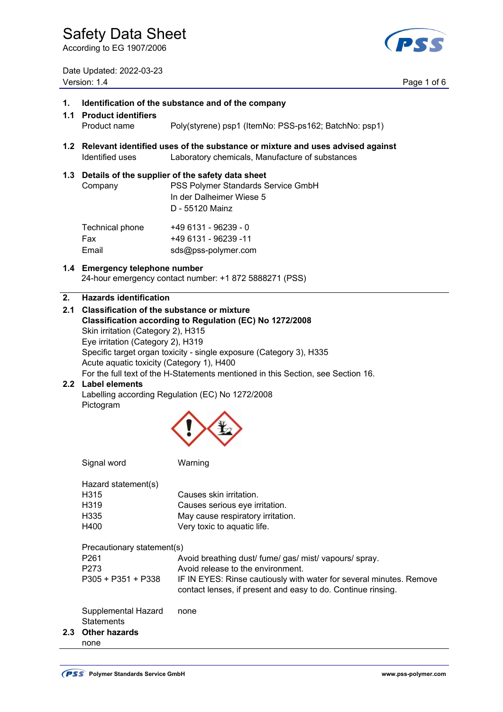According to EG 1907/2006

Date Updated: 2022-03-23 Version: 1.4 Page 1 of 6



#### **1. Identification of the substance and of the company**

- **1.1 Product identifiers**  Product name Poly(styrene) psp1 (ItemNo: PSS-ps162; BatchNo: psp1)
- **1.2 Relevant identified uses of the substance or mixture and uses advised against**  Identified uses Laboratory chemicals, Manufacture of substances

#### **1.3 Details of the supplier of the safety data sheet**

| Company         | PSS Polymer Standards Service GmbH<br>In der Dalheimer Wiese 5<br>D - 55120 Mainz |
|-----------------|-----------------------------------------------------------------------------------|
| Technical phone | +49 6131 - 96239 - 0<br>$110.0121$ $002220$ $11$                                  |

 Fax +49 6131 - 96239 -11 Email sds@pss-polymer.com

### **1.4 Emergency telephone number**

24-hour emergency contact number: +1 872 5888271 (PSS)

#### **2. Hazards identification**

**2.1 Classification of the substance or mixture Classification according to Regulation (EC) No 1272/2008**  Skin irritation (Category 2), H315 Eye irritation (Category 2), H319 Specific target organ toxicity - single exposure (Category 3), H335 Acute aquatic toxicity (Category 1), H400 For the full text of the H-Statements mentioned in this Section, see Section 16.

#### **2.2 Label elements**  Labelling according Regulation (EC) No 1272/2008 Pictogram



|     | Signal word                  | Warning                                                                                                                             |
|-----|------------------------------|-------------------------------------------------------------------------------------------------------------------------------------|
|     | Hazard statement(s)          |                                                                                                                                     |
|     | H <sub>315</sub>             | Causes skin irritation.                                                                                                             |
|     | H <sub>319</sub>             | Causes serious eye irritation.                                                                                                      |
|     | H <sub>335</sub>             | May cause respiratory irritation.                                                                                                   |
|     | H400                         | Very toxic to aquatic life.                                                                                                         |
|     | Precautionary statement(s)   |                                                                                                                                     |
|     | P <sub>261</sub>             | Avoid breathing dust/ fume/ gas/ mist/ vapours/ spray.                                                                              |
|     | P <sub>273</sub>             | Avoid release to the environment.                                                                                                   |
|     | $P305 + P351 + P338$         | IF IN EYES: Rinse cautiously with water for several minutes. Remove<br>contact lenses, if present and easy to do. Continue rinsing. |
|     | Supplemental Hazard          | none                                                                                                                                |
|     | <b>Statements</b>            |                                                                                                                                     |
| 2.3 | <b>Other hazards</b><br>none |                                                                                                                                     |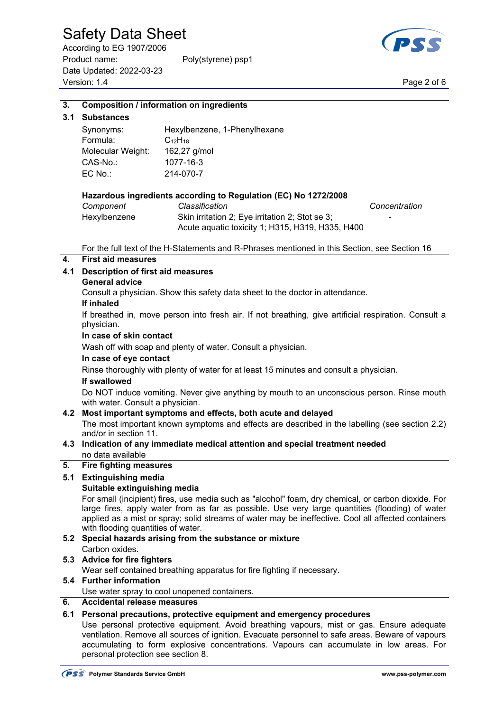According to EG 1907/2006 Product name: Poly(styrene) psp1 Date Updated: 2022-03-23 Page 2 of 6<br>Version: 1.4 Page 2 of 6



#### **3. Composition / information on ingredients**

#### **3.1 Substances**

| Synonyms:         | Hexylbenzene, 1-Phenylhexane |
|-------------------|------------------------------|
| Formula:          | $C_{12}H_{18}$               |
| Molecular Weight: | 162,27 g/mol                 |
| $CAS-No.$         | 1077-16-3                    |
| $EC$ No.:         | 214-070-7                    |

#### **Hazardous ingredients according to Regulation (EC) No 1272/2008**

| Component    | Classification                                   | Concentration            |
|--------------|--------------------------------------------------|--------------------------|
| Hexylbenzene | Skin irritation 2; Eye irritation 2; Stot se 3;  | $\overline{\phantom{0}}$ |
|              | Acute aquatic toxicity 1; H315, H319, H335, H400 |                          |

For the full text of the H-Statements and R-Phrases mentioned in this Section, see Section 16

#### **4. First aid measures**

#### **4.1 Description of first aid measures**

#### **General advice**

Consult a physician. Show this safety data sheet to the doctor in attendance.

#### **If inhaled**

 If breathed in, move person into fresh air. If not breathing, give artificial respiration. Consult a physician.

#### **In case of skin contact**

Wash off with soap and plenty of water. Consult a physician.

#### **In case of eye contact**

Rinse thoroughly with plenty of water for at least 15 minutes and consult a physician.

#### **If swallowed**

 Do NOT induce vomiting. Never give anything by mouth to an unconscious person. Rinse mouth with water. Consult a physician.

#### **4.2 Most important symptoms and effects, both acute and delayed**

 The most important known symptoms and effects are described in the labelling (see section 2.2) and/or in section 11.

#### **4.3 Indication of any immediate medical attention and special treatment needed**  no data available

### **5. Fire fighting measures**

#### **5.1 Extinguishing media**

#### **Suitable extinguishing media**

 For small (incipient) fires, use media such as "alcohol" foam, dry chemical, or carbon dioxide. For large fires, apply water from as far as possible. Use very large quantities (flooding) of water applied as a mist or spray; solid streams of water may be ineffective. Cool all affected containers with flooding quantities of water.

#### **5.2 Special hazards arising from the substance or mixture**  Carbon oxides.

#### **5.3 Advice for fire fighters**

Wear self contained breathing apparatus for fire fighting if necessary.

#### **5.4 Further information**

Use water spray to cool unopened containers.

#### **6. Accidental release measures**

#### **6.1 Personal precautions, protective equipment and emergency procedures**

 Use personal protective equipment. Avoid breathing vapours, mist or gas. Ensure adequate ventilation. Remove all sources of ignition. Evacuate personnel to safe areas. Beware of vapours accumulating to form explosive concentrations. Vapours can accumulate in low areas. For personal protection see section 8.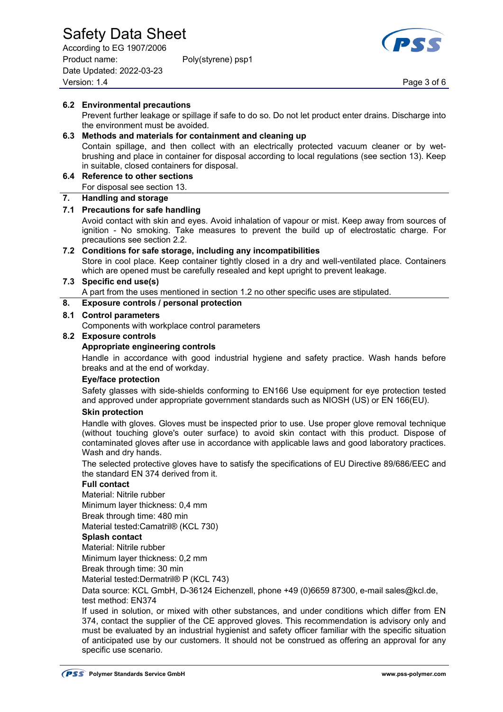According to EG 1907/2006 Product name: Poly(styrene) psp1 Date Updated: 2022-03-23 Page 3 of 6<br>Version: 1.4 Page 3 of 6



#### **6.2 Environmental precautions**  Prevent further leakage or spillage if safe to do so. Do not let product enter drains. Discharge into the environment must be avoided. **6.3 Methods and materials for containment and cleaning up**  Contain spillage, and then collect with an electrically protected vacuum cleaner or by wet brushing and place in container for disposal according to local regulations (see section 13). Keep in suitable, closed containers for disposal. **6.4 Reference to other sections**  For disposal see section 13. **7. Handling and storage 7.1 Precautions for safe handling**  Avoid contact with skin and eyes. Avoid inhalation of vapour or mist. Keep away from sources of ignition - No smoking. Take measures to prevent the build up of electrostatic charge. For precautions see section 2.2. **7.2 Conditions for safe storage, including any incompatibilities**  Store in cool place. Keep container tightly closed in a dry and well-ventilated place. Containers which are opened must be carefully resealed and kept upright to prevent leakage. **7.3 Specific end use(s)**  A part from the uses mentioned in section 1.2 no other specific uses are stipulated. **8. Exposure controls / personal protection 8.1 Control parameters**  Components with workplace control parameters **8.2 Exposure controls Appropriate engineering controls**  Handle in accordance with good industrial hygiene and safety practice. Wash hands before breaks and at the end of workday.  **Eye/face protection**  Safety glasses with side-shields conforming to EN166 Use equipment for eye protection tested and approved under appropriate government standards such as NIOSH (US) or EN 166(EU). **Skin protection** Handle with gloves. Gloves must be inspected prior to use. Use proper glove removal technique (without touching glove's outer surface) to avoid skin contact with this product. Dispose of contaminated gloves after use in accordance with applicable laws and good laboratory practices. Wash and dry hands. The selected protective gloves have to satisfy the specifications of EU Directive 89/686/EEC and the standard EN 374 derived from it. **Full contact**  Material: Nitrile rubber Minimum layer thickness: 0,4 mm Break through time: 480 min Material tested:Camatril® (KCL 730) **Splash contact**  Material: Nitrile rubber

Minimum layer thickness: 0,2 mm

Break through time: 30 min

Material tested:Dermatril® P (KCL 743)

Data source: KCL GmbH, D-36124 Eichenzell, phone +49 (0)6659 87300, e-mail sales@kcl.de, test method: EN374

 If used in solution, or mixed with other substances, and under conditions which differ from EN 374, contact the supplier of the CE approved gloves. This recommendation is advisory only and must be evaluated by an industrial hygienist and safety officer familiar with the specific situation of anticipated use by our customers. It should not be construed as offering an approval for any specific use scenario.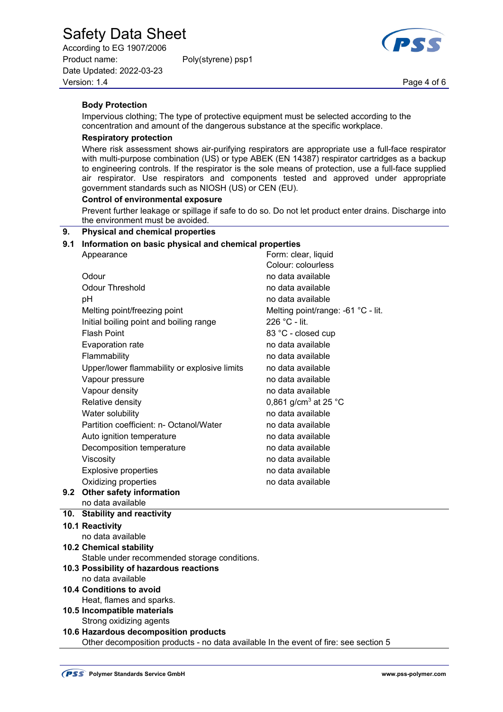According to EG 1907/2006 Product name: Poly(styrene) psp1 Date Updated: 2022-03-23 Page 4 of 6<br>Version: 1.4 Page 4 of 6



#### **Body Protection**

 Impervious clothing; The type of protective equipment must be selected according to the concentration and amount of the dangerous substance at the specific workplace.

#### **Respiratory protection**

 Where risk assessment shows air-purifying respirators are appropriate use a full-face respirator with multi-purpose combination (US) or type ABEK (EN 14387) respirator cartridges as a backup to engineering controls. If the respirator is the sole means of protection, use a full-face supplied air respirator. Use respirators and components tested and approved under appropriate government standards such as NIOSH (US) or CEN (EU).

#### **Control of environmental exposure**

 Prevent further leakage or spillage if safe to do so. Do not let product enter drains. Discharge into the environment must be avoided.

#### **9. Physical and chemical properties**

#### **9.1 Information on basic physical and chemical properties**

| Appearance                                                                              | Form: clear, liquid                |
|-----------------------------------------------------------------------------------------|------------------------------------|
|                                                                                         | Colour: colourless                 |
| Odour                                                                                   | no data available                  |
| <b>Odour Threshold</b>                                                                  | no data available                  |
| pH                                                                                      | no data available                  |
| Melting point/freezing point                                                            | Melting point/range: -61 °C - lit. |
| Initial boiling point and boiling range                                                 | 226 °C - lit.                      |
| <b>Flash Point</b>                                                                      | 83 °C - closed cup                 |
| <b>Evaporation rate</b>                                                                 | no data available                  |
| Flammability                                                                            | no data available                  |
| Upper/lower flammability or explosive limits                                            | no data available                  |
| Vapour pressure                                                                         | no data available                  |
| Vapour density                                                                          | no data available                  |
| Relative density                                                                        | 0,861 g/cm <sup>3</sup> at 25 °C   |
| Water solubility                                                                        | no data available                  |
| Partition coefficient: n- Octanol/Water                                                 | no data available                  |
| Auto ignition temperature                                                               | no data available                  |
| Decomposition temperature                                                               | no data available                  |
| Viscosity                                                                               | no data available                  |
| <b>Explosive properties</b>                                                             | no data available                  |
| Oxidizing properties                                                                    | no data available                  |
| 9.2 Other safety information                                                            |                                    |
| no data available                                                                       |                                    |
| 10. Stability and reactivity                                                            |                                    |
| 10.1 Reactivity                                                                         |                                    |
| no data available                                                                       |                                    |
| <b>10.2 Chemical stability</b>                                                          |                                    |
| Stable under recommended storage conditions.<br>10.3 Possibility of hazardous reactions |                                    |
| no data available                                                                       |                                    |
| 10.4 Conditions to avoid                                                                |                                    |
| Heat, flames and sparks.                                                                |                                    |
| 10.5 Incompatible materials                                                             |                                    |

Strong oxidizing agents

### **10.6 Hazardous decomposition products**  Other decomposition products - no data available In the event of fire: see section 5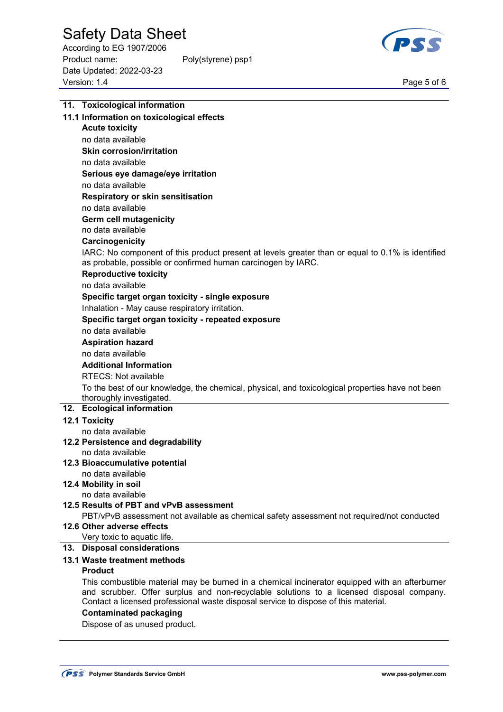According to EG 1907/2006 Product name: Poly(styrene) psp1 Date Updated: 2022-03-23 Page 5 of 6<br>Version: 1.4 Page 5 of 6



| 11. Toxicological information                                                                                                                                                                                                                                                     |
|-----------------------------------------------------------------------------------------------------------------------------------------------------------------------------------------------------------------------------------------------------------------------------------|
| 11.1 Information on toxicological effects                                                                                                                                                                                                                                         |
| <b>Acute toxicity</b>                                                                                                                                                                                                                                                             |
| no data available                                                                                                                                                                                                                                                                 |
| <b>Skin corrosion/irritation</b>                                                                                                                                                                                                                                                  |
| no data available                                                                                                                                                                                                                                                                 |
| Serious eye damage/eye irritation                                                                                                                                                                                                                                                 |
| no data available                                                                                                                                                                                                                                                                 |
| Respiratory or skin sensitisation                                                                                                                                                                                                                                                 |
| no data available                                                                                                                                                                                                                                                                 |
| <b>Germ cell mutagenicity</b>                                                                                                                                                                                                                                                     |
| no data available                                                                                                                                                                                                                                                                 |
| Carcinogenicity                                                                                                                                                                                                                                                                   |
| IARC: No component of this product present at levels greater than or equal to 0.1% is identified<br>as probable, possible or confirmed human carcinogen by IARC.                                                                                                                  |
| <b>Reproductive toxicity</b>                                                                                                                                                                                                                                                      |
| no data available                                                                                                                                                                                                                                                                 |
| Specific target organ toxicity - single exposure                                                                                                                                                                                                                                  |
| Inhalation - May cause respiratory irritation.                                                                                                                                                                                                                                    |
| Specific target organ toxicity - repeated exposure                                                                                                                                                                                                                                |
| no data available                                                                                                                                                                                                                                                                 |
| <b>Aspiration hazard</b>                                                                                                                                                                                                                                                          |
| no data available                                                                                                                                                                                                                                                                 |
| <b>Additional Information</b>                                                                                                                                                                                                                                                     |
| <b>RTECS: Not available</b>                                                                                                                                                                                                                                                       |
| To the best of our knowledge, the chemical, physical, and toxicological properties have not been                                                                                                                                                                                  |
| thoroughly investigated.                                                                                                                                                                                                                                                          |
| 12. Ecological information                                                                                                                                                                                                                                                        |
| 12.1 Toxicity                                                                                                                                                                                                                                                                     |
| no data available                                                                                                                                                                                                                                                                 |
| 12.2 Persistence and degradability                                                                                                                                                                                                                                                |
| no data available                                                                                                                                                                                                                                                                 |
| 12.3 Bioaccumulative potential<br>no data available                                                                                                                                                                                                                               |
| 12.4 Mobility in soil                                                                                                                                                                                                                                                             |
| no data available                                                                                                                                                                                                                                                                 |
| 12.5 Results of PBT and vPvB assessment                                                                                                                                                                                                                                           |
| PBT/vPvB assessment not available as chemical safety assessment not required/not conducted                                                                                                                                                                                        |
| 12.6 Other adverse effects                                                                                                                                                                                                                                                        |
| Very toxic to aquatic life.                                                                                                                                                                                                                                                       |
| 13. Disposal considerations                                                                                                                                                                                                                                                       |
| 13.1 Waste treatment methods                                                                                                                                                                                                                                                      |
| <b>Product</b>                                                                                                                                                                                                                                                                    |
| This combustible material may be burned in a chemical incinerator equipped with an afterburner<br>and scrubber. Offer surplus and non-recyclable solutions to a licensed disposal company.<br>Contact a licensed professional waste disposal service to dispose of this material. |

### **Contaminated packaging**

Dispose of as unused product.